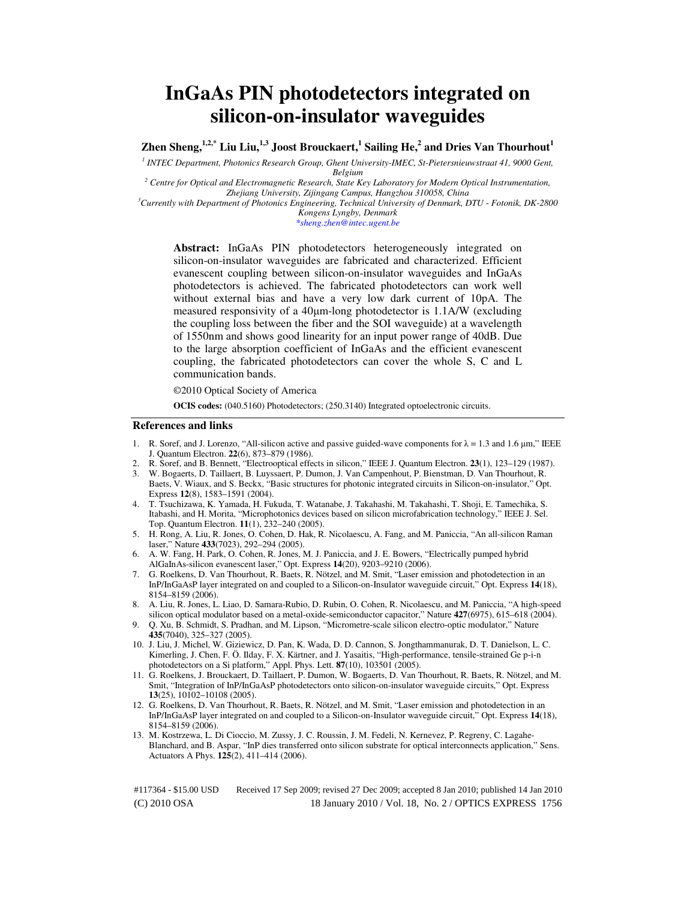# **InGaAs PIN photodetectors integrated on silicon-on-insulator waveguides**

**Zhen Sheng,1,2,\* Liu Liu,1,3 Joost Brouckaert,<sup>1</sup> Sailing He,<sup>2</sup> and Dries Van Thourhout<sup>1</sup>**

*1 INTEC Department, Photonics Research Group, Ghent University-IMEC, St-Pietersnieuwstraat 41, 9000 Gent, Belgium* 

<sup>2</sup> Centre for Optical and Electromagnetic Research, State Key Laboratory for Modern Optical Instrumentation, *Zhejiang University, Zijingang Campus, Hangzhou 310058, China* 

*<sup>3</sup>Currently with Department of Photonics Engineering, Technical University of Denmark, DTU - Fotonik, DK-2800 Kongens Lyngby, Denmark* 

*\*sheng.zhen@intec.ugent.be* 

**Abstract:** InGaAs PIN photodetectors heterogeneously integrated on silicon-on-insulator waveguides are fabricated and characterized. Efficient evanescent coupling between silicon-on-insulator waveguides and InGaAs photodetectors is achieved. The fabricated photodetectors can work well without external bias and have a very low dark current of 10pA. The measured responsivity of a 40µm-long photodetector is 1.1A/W (excluding the coupling loss between the fiber and the SOI waveguide) at a wavelength of 1550nm and shows good linearity for an input power range of 40dB. Due to the large absorption coefficient of InGaAs and the efficient evanescent coupling, the fabricated photodetectors can cover the whole S, C and L communication bands.

©2010 Optical Society of America

**OCIS codes:** (040.5160) Photodetectors; (250.3140) Integrated optoelectronic circuits.

## **References and links**

- 1. R. Soref, and J. Lorenzo, "All-silicon active and passive guided-wave components for  $\lambda = 1.3$  and 1.6  $\mu$ m," IEEE J. Quantum Electron. **22**(6), 873–879 (1986).
- 2. R. Soref, and B. Bennett, "Electrooptical effects in silicon," IEEE J. Quantum Electron. **23**(1), 123–129 (1987).
- 3. W. Bogaerts, D. Taillaert, B. Luyssaert, P. Dumon, J. Van Campenhout, P. Bienstman, D. Van Thourhout, R. Baets, V. Wiaux, and S. Beckx, "Basic structures for photonic integrated circuits in Silicon-on-insulator," Opt. Express **12**(8), 1583–1591 (2004).
- 4. T. Tsuchizawa, K. Yamada, H. Fukuda, T. Watanabe, J. Takahashi, M. Takahashi, T. Shoji, E. Tamechika, S. Itabashi, and H. Morita, "Microphotonics devices based on silicon microfabrication technology," IEEE J. Sel. Top. Quantum Electron. **11**(1), 232–240 (2005).
- 5. H. Rong, A. Liu, R. Jones, O. Cohen, D. Hak, R. Nicolaescu, A. Fang, and M. Paniccia, "An all-silicon Raman laser," Nature **433**(7023), 292–294 (2005).
- 6. A. W. Fang, H. Park, O. Cohen, R. Jones, M. J. Paniccia, and J. E. Bowers, "Electrically pumped hybrid AlGaInAs-silicon evanescent laser," Opt. Express **14**(20), 9203–9210 (2006).
- 7. G. Roelkens, D. Van Thourhout, R. Baets, R. Nötzel, and M. Smit, "Laser emission and photodetection in an InP/InGaAsP layer integrated on and coupled to a Silicon-on-Insulator waveguide circuit," Opt. Express **14**(18), 8154–8159 (2006).
- 8. A. Liu, R. Jones, L. Liao, D. Samara-Rubio, D. Rubin, O. Cohen, R. Nicolaescu, and M. Paniccia, "A high-speed silicon optical modulator based on a metal-oxide-semiconductor capacitor," Nature **427**(6975), 615–618 (2004).
- 9. Q. Xu, B. Schmidt, S. Pradhan, and M. Lipson, "Micrometre-scale silicon electro-optic modulator," Nature **435**(7040), 325–327 (2005).
- 10. J. Liu, J. Michel, W. Giziewicz, D. Pan, K. Wada, D. D. Cannon, S. Jongthammanurak, D. T. Danielson, L. C. Kimerling, J. Chen, F. Ö. Ilday, F. X. Kärtner, and J. Yasaitis, "High-performance, tensile-strained Ge p-i-n photodetectors on a Si platform," Appl. Phys. Lett. **87**(10), 103501 (2005).
- 11. G. Roelkens, J. Brouckaert, D. Taillaert, P. Dumon, W. Bogaerts, D. Van Thourhout, R. Baets, R. Nötzel, and M. Smit, "Integration of InP/InGaAsP photodetectors onto silicon-on-insulator waveguide circuits," Opt. Express **13**(25), 10102–10108 (2005).
- 12. G. Roelkens, D. Van Thourhout, R. Baets, R. Nötzel, and M. Smit, "Laser emission and photodetection in an InP/InGaAsP layer integrated on and coupled to a Silicon-on-Insulator waveguide circuit," Opt. Express **14**(18), 8154–8159 (2006).
- 13. M. Kostrzewa, L. Di Cioccio, M. Zussy, J. C. Roussin, J. M. Fedeli, N. Kernevez, P. Regreny, C. Lagahe-Blanchard, and B. Aspar, "InP dies transferred onto silicon substrate for optical interconnects application," Sens. Actuators A Phys. **125**(2), 411–414 (2006).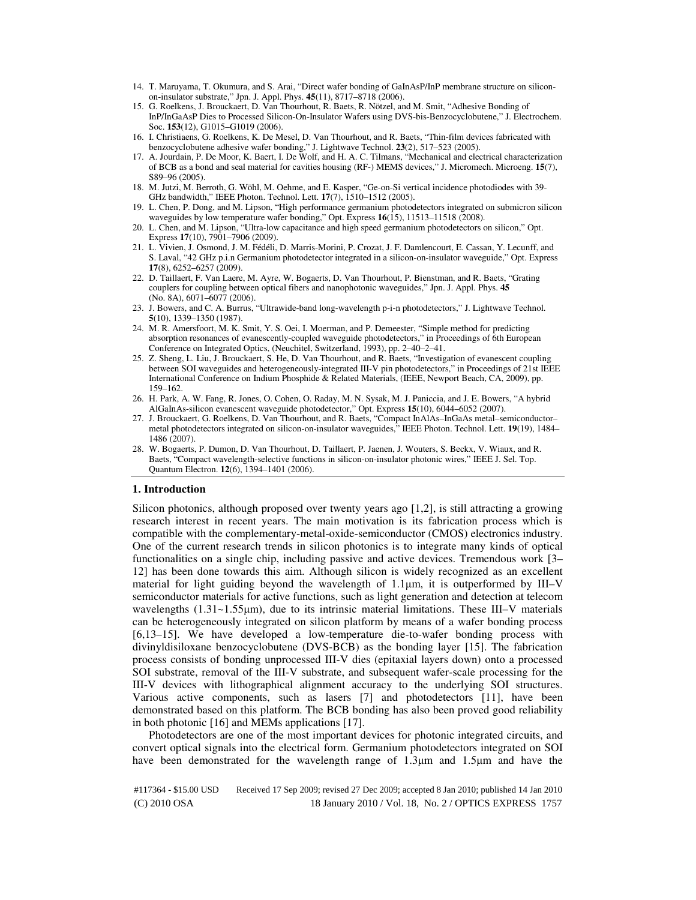- 14. T. Maruyama, T. Okumura, and S. Arai, "Direct wafer bonding of GaInAsP/InP membrane structure on siliconon-insulator substrate," Jpn. J. Appl. Phys. **45**(11), 8717–8718 (2006).
- 15. G. Roelkens, J. Brouckaert, D. Van Thourhout, R. Baets, R. Nötzel, and M. Smit, "Adhesive Bonding of InP/InGaAsP Dies to Processed Silicon-On-Insulator Wafers using DVS-bis-Benzocyclobutene," J. Electrochem. Soc. **153**(12), G1015–G1019 (2006).
- 16. I. Christiaens, G. Roelkens, K. De Mesel, D. Van Thourhout, and R. Baets, "Thin-film devices fabricated with benzocyclobutene adhesive wafer bonding," J. Lightwave Technol. **23**(2), 517–523 (2005).
- 17. A. Jourdain, P. De Moor, K. Baert, I. De Wolf, and H. A. C. Tilmans, "Mechanical and electrical characterization of BCB as a bond and seal material for cavities housing (RF-) MEMS devices," J. Micromech. Microeng. **15**(7), S89–96 (2005).
- 18. M. Jutzi, M. Berroth, G. Wöhl, M. Oehme, and E. Kasper, "Ge-on-Si vertical incidence photodiodes with 39- GHz bandwidth," IEEE Photon. Technol. Lett. **17**(7), 1510–1512 (2005).
- 19. L. Chen, P. Dong, and M. Lipson, "High performance germanium photodetectors integrated on submicron silicon waveguides by low temperature wafer bonding," Opt. Express **16**(15), 11513–11518 (2008).
- 20. L. Chen, and M. Lipson, "Ultra-low capacitance and high speed germanium photodetectors on silicon," Opt. Express **17**(10), 7901–7906 (2009).
- 21. L. Vivien, J. Osmond, J. M. Fédéli, D. Marris-Morini, P. Crozat, J. F. Damlencourt, E. Cassan, Y. Lecunff, and S. Laval, "42 GHz p.i.n Germanium photodetector integrated in a silicon-on-insulator waveguide," Opt. Express **17**(8), 6252–6257 (2009).
- 22. D. Taillaert, F. Van Laere, M. Ayre, W. Bogaerts, D. Van Thourhout, P. Bienstman, and R. Baets, "Grating couplers for coupling between optical fibers and nanophotonic waveguides," Jpn. J. Appl. Phys. **45**  (No. 8A), 6071–6077 (2006).
- 23. J. Bowers, and C. A. Burrus, "Ultrawide-band long-wavelength p-i-n photodetectors," J. Lightwave Technol. **5**(10), 1339–1350 (1987).
- 24. M. R. Amersfoort, M. K. Smit, Y. S. Oei, I. Moerman, and P. Demeester, "Simple method for predicting absorption resonances of evanescently-coupled waveguide photodetectors," in Proceedings of 6th European Conference on Integrated Optics, (Neuchitel, Switzerland, 1993), pp. 2–40–2–41.
- 25. Z. Sheng, L. Liu, J. Brouckaert, S. He, D. Van Thourhout, and R. Baets, "Investigation of evanescent coupling between SOI waveguides and heterogeneously-integrated III-V pin photodetectors," in Proceedings of 21st IEEE International Conference on Indium Phosphide & Related Materials, (IEEE, Newport Beach, CA, 2009), pp. 159–162.
- 26. H. Park, A. W. Fang, R. Jones, O. Cohen, O. Raday, M. N. Sysak, M. J. Paniccia, and J. E. Bowers, "A hybrid AlGaInAs-silicon evanescent waveguide photodetector," Opt. Express **15**(10), 6044–6052 (2007).
- 27. J. Brouckaert, G. Roelkens, D. Van Thourhout, and R. Baets, "Compact InAlAs–InGaAs metal–semiconductor– metal photodetectors integrated on silicon-on-insulator waveguides," IEEE Photon. Technol. Lett. **19**(19), 1484– 1486 (2007).
- 28. W. Bogaerts, P. Dumon, D. Van Thourhout, D. Taillaert, P. Jaenen, J. Wouters, S. Beckx, V. Wiaux, and R. Baets, "Compact wavelength-selective functions in silicon-on-insulator photonic wires," IEEE J. Sel. Top. Quantum Electron. **12**(6), 1394–1401 (2006).

## **1. Introduction**

Silicon photonics, although proposed over twenty years ago [1,2], is still attracting a growing research interest in recent years. The main motivation is its fabrication process which is compatible with the complementary-metal-oxide-semiconductor (CMOS) electronics industry. One of the current research trends in silicon photonics is to integrate many kinds of optical functionalities on a single chip, including passive and active devices. Tremendous work [3– 12] has been done towards this aim. Although silicon is widely recognized as an excellent material for light guiding beyond the wavelength of  $1.1\mu$ m, it is outperformed by III–V semiconductor materials for active functions, such as light generation and detection at telecom wavelengths  $(1.31 \sim 1.55 \,\mu\text{m})$ , due to its intrinsic material limitations. These III–V materials can be heterogeneously integrated on silicon platform by means of a wafer bonding process [6,13–15]. We have developed a low-temperature die-to-wafer bonding process with divinyldisiloxane benzocyclobutene (DVS-BCB) as the bonding layer [15]. The fabrication process consists of bonding unprocessed III-V dies (epitaxial layers down) onto a processed SOI substrate, removal of the III-V substrate, and subsequent wafer-scale processing for the III-V devices with lithographical alignment accuracy to the underlying SOI structures. Various active components, such as lasers [7] and photodetectors [11], have been demonstrated based on this platform. The BCB bonding has also been proved good reliability in both photonic [16] and MEMs applications [17].

Photodetectors are one of the most important devices for photonic integrated circuits, and convert optical signals into the electrical form. Germanium photodetectors integrated on SOI have been demonstrated for the wavelength range of 1.3µm and 1.5µm and have the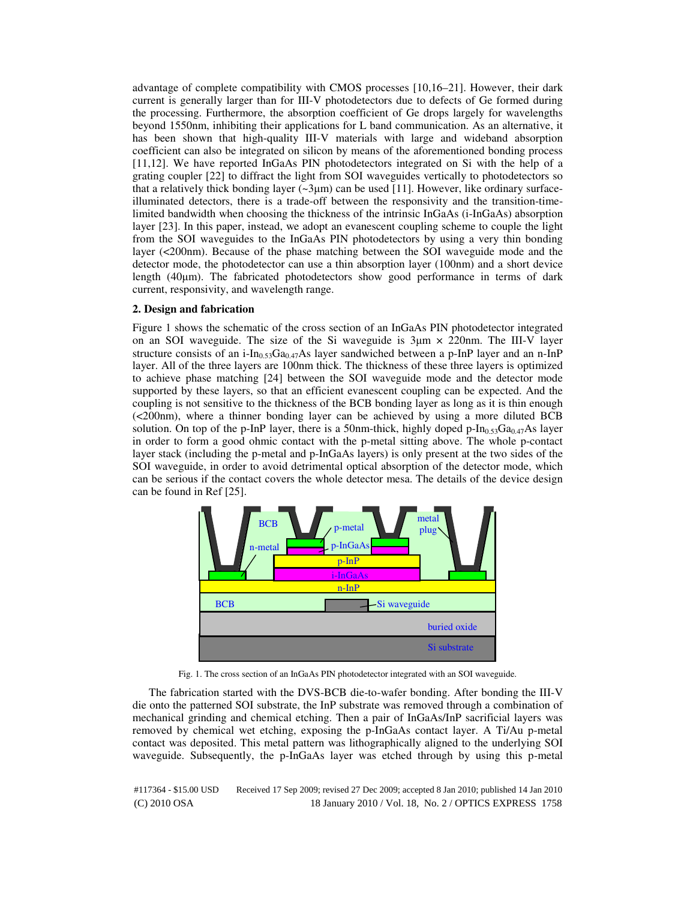advantage of complete compatibility with CMOS processes [10,16–21]. However, their dark current is generally larger than for III-V photodetectors due to defects of Ge formed during the processing. Furthermore, the absorption coefficient of Ge drops largely for wavelengths beyond 1550nm, inhibiting their applications for L band communication. As an alternative, it has been shown that high-quality III-V materials with large and wideband absorption coefficient can also be integrated on silicon by means of the aforementioned bonding process [11,12]. We have reported InGaAs PIN photodetectors integrated on Si with the help of a grating coupler [22] to diffract the light from SOI waveguides vertically to photodetectors so that a relatively thick bonding layer  $(\sim 3\mu m)$  can be used [11]. However, like ordinary surfaceilluminated detectors, there is a trade-off between the responsivity and the transition-timelimited bandwidth when choosing the thickness of the intrinsic InGaAs (i-InGaAs) absorption layer [23]. In this paper, instead, we adopt an evanescent coupling scheme to couple the light from the SOI waveguides to the InGaAs PIN photodetectors by using a very thin bonding layer (<200nm). Because of the phase matching between the SOI waveguide mode and the detector mode, the photodetector can use a thin absorption layer (100nm) and a short device length (40µm). The fabricated photodetectors show good performance in terms of dark current, responsivity, and wavelength range.

## **2. Design and fabrication**

Figure 1 shows the schematic of the cross section of an InGaAs PIN photodetector integrated on an SOI waveguide. The size of the Si waveguide is  $3\mu$ m  $\times$  220nm. The III-V layer structure consists of an i-In<sub>0.53</sub>Ga<sub>0.47</sub>As layer sandwiched between a p-InP layer and an n-InP layer. All of the three layers are 100nm thick. The thickness of these three layers is optimized to achieve phase matching [24] between the SOI waveguide mode and the detector mode supported by these layers, so that an efficient evanescent coupling can be expected. And the coupling is not sensitive to the thickness of the BCB bonding layer as long as it is thin enough (<200nm), where a thinner bonding layer can be achieved by using a more diluted BCB solution. On top of the p-InP layer, there is a 50nm-thick, highly doped p-In<sub>0.53</sub>Ga<sub>0.47</sub>As layer in order to form a good ohmic contact with the p-metal sitting above. The whole p-contact layer stack (including the p-metal and p-InGaAs layers) is only present at the two sides of the SOI waveguide, in order to avoid detrimental optical absorption of the detector mode, which can be serious if the contact covers the whole detector mesa. The details of the device design can be found in Ref [25].



Fig. 1. The cross section of an InGaAs PIN photodetector integrated with an SOI waveguide.

The fabrication started with the DVS-BCB die-to-wafer bonding. After bonding the III-V die onto the patterned SOI substrate, the InP substrate was removed through a combination of mechanical grinding and chemical etching. Then a pair of InGaAs/InP sacrificial layers was removed by chemical wet etching, exposing the p-InGaAs contact layer. A Ti/Au p-metal contact was deposited. This metal pattern was lithographically aligned to the underlying SOI waveguide. Subsequently, the p-InGaAs layer was etched through by using this p-metal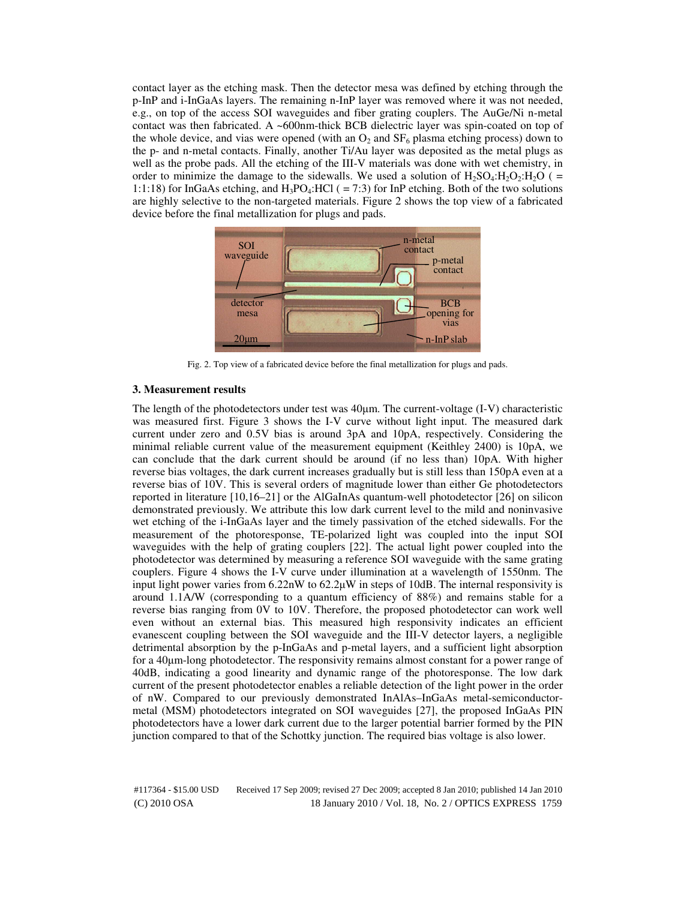contact layer as the etching mask. Then the detector mesa was defined by etching through the p-InP and i-InGaAs layers. The remaining n-InP layer was removed where it was not needed, e.g., on top of the access SOI waveguides and fiber grating couplers. The AuGe/Ni n-metal contact was then fabricated. A ~600nm-thick BCB dielectric layer was spin-coated on top of the whole device, and vias were opened (with an  $O_2$  and  $SF_6$  plasma etching process) down to the p- and n-metal contacts. Finally, another Ti/Au layer was deposited as the metal plugs as well as the probe pads. All the etching of the III-V materials was done with wet chemistry, in order to minimize the damage to the sidewalls. We used a solution of  $H_2SO_4:H_2O_2:H_2O$  ( = 1:1:18) for InGaAs etching, and  $H_3PO_4$ :HCl ( = 7:3) for InP etching. Both of the two solutions are highly selective to the non-targeted materials. Figure 2 shows the top view of a fabricated device before the final metallization for plugs and pads.



Fig. 2. Top view of a fabricated device before the final metallization for plugs and pads.

## **3. Measurement results**

The length of the photodetectors under test was  $40\mu$ m. The current-voltage (I-V) characteristic was measured first. Figure 3 shows the I-V curve without light input. The measured dark current under zero and 0.5V bias is around 3pA and 10pA, respectively. Considering the minimal reliable current value of the measurement equipment (Keithley 2400) is 10pA, we can conclude that the dark current should be around (if no less than) 10pA. With higher reverse bias voltages, the dark current increases gradually but is still less than 150pA even at a reverse bias of 10V. This is several orders of magnitude lower than either Ge photodetectors reported in literature [10,16–21] or the AlGaInAs quantum-well photodetector [26] on silicon demonstrated previously. We attribute this low dark current level to the mild and noninvasive wet etching of the i-InGaAs layer and the timely passivation of the etched sidewalls. For the measurement of the photoresponse, TE-polarized light was coupled into the input SOI waveguides with the help of grating couplers [22]. The actual light power coupled into the photodetector was determined by measuring a reference SOI waveguide with the same grating couplers. Figure 4 shows the I-V curve under illumination at a wavelength of 1550nm. The input light power varies from  $6.22nW$  to  $62.2\muW$  in steps of 10dB. The internal responsivity is around 1.1A/W (corresponding to a quantum efficiency of 88%) and remains stable for a reverse bias ranging from 0V to 10V. Therefore, the proposed photodetector can work well even without an external bias. This measured high responsivity indicates an efficient evanescent coupling between the SOI waveguide and the III-V detector layers, a negligible detrimental absorption by the p-InGaAs and p-metal layers, and a sufficient light absorption for a 40µm-long photodetector. The responsivity remains almost constant for a power range of 40dB, indicating a good linearity and dynamic range of the photoresponse. The low dark current of the present photodetector enables a reliable detection of the light power in the order of nW. Compared to our previously demonstrated InAlAs–InGaAs metal-semiconductormetal (MSM) photodetectors integrated on SOI waveguides [27], the proposed InGaAs PIN photodetectors have a lower dark current due to the larger potential barrier formed by the PIN junction compared to that of the Schottky junction. The required bias voltage is also lower.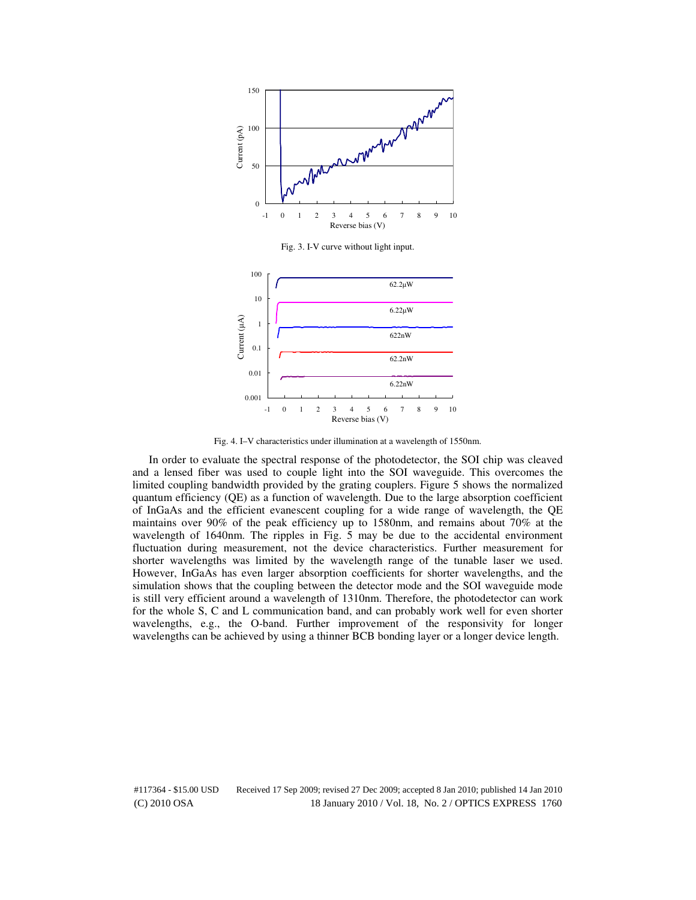

Fig. 3. I-V curve without light input.



Fig. 4. I–V characteristics under illumination at a wavelength of 1550nm.

In order to evaluate the spectral response of the photodetector, the SOI chip was cleaved and a lensed fiber was used to couple light into the SOI waveguide. This overcomes the limited coupling bandwidth provided by the grating couplers. Figure 5 shows the normalized quantum efficiency (QE) as a function of wavelength. Due to the large absorption coefficient of InGaAs and the efficient evanescent coupling for a wide range of wavelength, the QE maintains over 90% of the peak efficiency up to 1580nm, and remains about 70% at the wavelength of 1640nm. The ripples in Fig. 5 may be due to the accidental environment fluctuation during measurement, not the device characteristics. Further measurement for shorter wavelengths was limited by the wavelength range of the tunable laser we used. However, InGaAs has even larger absorption coefficients for shorter wavelengths, and the simulation shows that the coupling between the detector mode and the SOI waveguide mode is still very efficient around a wavelength of 1310nm. Therefore, the photodetector can work for the whole S, C and L communication band, and can probably work well for even shorter wavelengths, e.g., the O-band. Further improvement of the responsivity for longer wavelengths can be achieved by using a thinner BCB bonding layer or a longer device length.